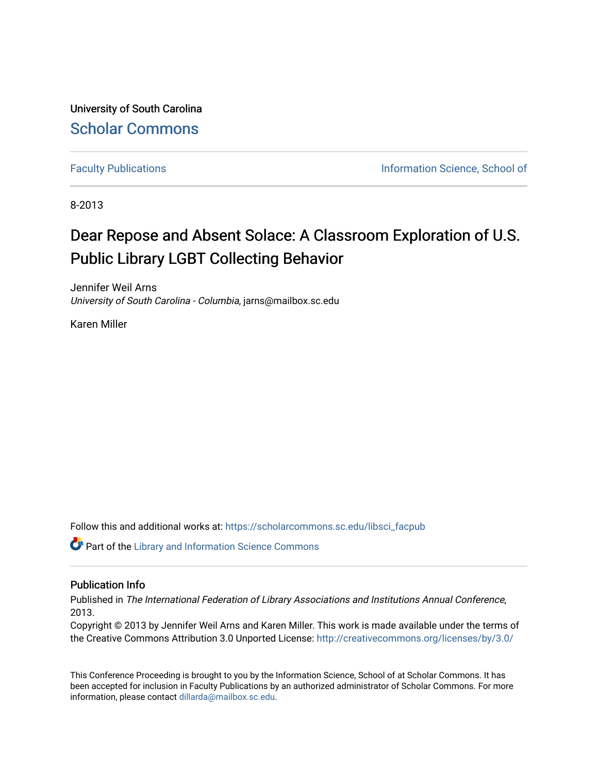University of South Carolina [Scholar Commons](https://scholarcommons.sc.edu/) 

[Faculty Publications](https://scholarcommons.sc.edu/libsci_facpub) **Information Science, School of Information Science**, School of

8-2013

# Dear Repose and Absent Solace: A Classroom Exploration of U.S. Public Library LGBT Collecting Behavior

Jennifer Weil Arns University of South Carolina - Columbia, jarns@mailbox.sc.edu

Karen Miller

Follow this and additional works at: [https://scholarcommons.sc.edu/libsci\\_facpub](https://scholarcommons.sc.edu/libsci_facpub?utm_source=scholarcommons.sc.edu%2Flibsci_facpub%2F349&utm_medium=PDF&utm_campaign=PDFCoverPages) 

Part of the [Library and Information Science Commons](http://network.bepress.com/hgg/discipline/1018?utm_source=scholarcommons.sc.edu%2Flibsci_facpub%2F349&utm_medium=PDF&utm_campaign=PDFCoverPages) 

#### Publication Info

Published in The International Federation of Library Associations and Institutions Annual Conference, 2013.

Copyright © 2013 by Jennifer Weil Arns and Karen Miller. This work is made available under the terms of the Creative Commons Attribution 3.0 Unported License:<http://creativecommons.org/licenses/by/3.0/>

This Conference Proceeding is brought to you by the Information Science, School of at Scholar Commons. It has been accepted for inclusion in Faculty Publications by an authorized administrator of Scholar Commons. For more information, please contact [dillarda@mailbox.sc.edu.](mailto:dillarda@mailbox.sc.edu)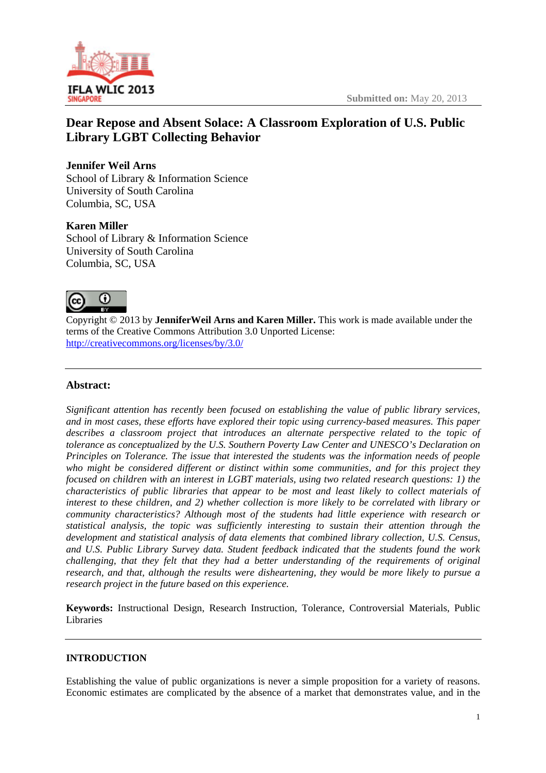

## **Dear Repose and Absent Solace: A Classroom Exploration of U.S. Public Library LGBT Collecting Behavior**

## **Jennifer Weil Arns**

School of Library & Information Science University of South Carolina Columbia, SC, USA

## **Karen Miller**

School of Library & Information Science University of South Carolina Columbia, SC, USA



Copyright © 2013 by **JenniferWeil Arns and Karen Miller.** This work is made available under the terms of the Creative Commons Attribution 3.0 Unported License: http://creativecommons.org/licenses/by/3.0/

## **Abstract:**

*Significant attention has recently been focused on establishing the value of public library services, and in most cases, these efforts have explored their topic using currency-based measures. This paper describes a classroom project that introduces an alternate perspective related to the topic of tolerance as conceptualized by the U.S. Southern Poverty Law Center and UNESCO's Declaration on Principles on Tolerance. The issue that interested the students was the information needs of people who might be considered different or distinct within some communities, and for this project they focused on children with an interest in LGBT materials, using two related research questions: 1) the characteristics of public libraries that appear to be most and least likely to collect materials of interest to these children, and 2) whether collection is more likely to be correlated with library or community characteristics? Although most of the students had little experience with research or statistical analysis, the topic was sufficiently interesting to sustain their attention through the development and statistical analysis of data elements that combined library collection, U.S. Census, and U.S. Public Library Survey data. Student feedback indicated that the students found the work challenging, that they felt that they had a better understanding of the requirements of original research, and that, although the results were disheartening, they would be more likely to pursue a research project in the future based on this experience.* 

**Keywords:** Instructional Design, Research Instruction, Tolerance, Controversial Materials, Public Libraries

## **INTRODUCTION**

Establishing the value of public organizations is never a simple proposition for a variety of reasons. Economic estimates are complicated by the absence of a market that demonstrates value, and in the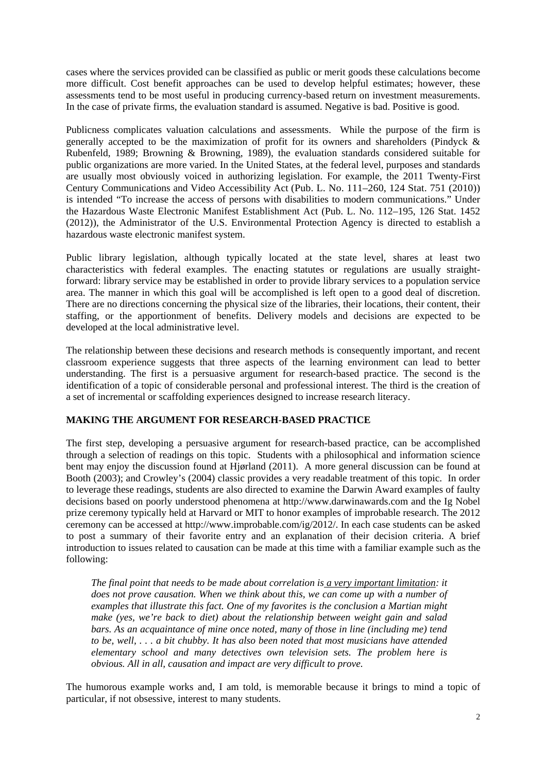cases where the services provided can be classified as public or merit goods these calculations become more difficult. Cost benefit approaches can be used to develop helpful estimates; however, these assessments tend to be most useful in producing currency-based return on investment measurements. In the case of private firms, the evaluation standard is assumed. Negative is bad. Positive is good.

Publicness complicates valuation calculations and assessments. While the purpose of the firm is generally accepted to be the maximization of profit for its owners and shareholders (Pindyck & Rubenfeld, 1989; Browning & Browning, 1989), the evaluation standards considered suitable for public organizations are more varied. In the United States, at the federal level, purposes and standards are usually most obviously voiced in authorizing legislation. For example, the 2011 Twenty-First Century Communications and Video Accessibility Act (Pub. L. No. 111–260, 124 Stat. 751 (2010)) is intended "To increase the access of persons with disabilities to modern communications." Under the Hazardous Waste Electronic Manifest Establishment Act (Pub. L. No. 112–195, 126 Stat. 1452 (2012)), the Administrator of the U.S. Environmental Protection Agency is directed to establish a hazardous waste electronic manifest system.

Public library legislation, although typically located at the state level, shares at least two characteristics with federal examples. The enacting statutes or regulations are usually straightforward: library service may be established in order to provide library services to a population service area. The manner in which this goal will be accomplished is left open to a good deal of discretion. There are no directions concerning the physical size of the libraries, their locations, their content, their staffing, or the apportionment of benefits. Delivery models and decisions are expected to be developed at the local administrative level.

The relationship between these decisions and research methods is consequently important, and recent classroom experience suggests that three aspects of the learning environment can lead to better understanding. The first is a persuasive argument for research-based practice. The second is the identification of a topic of considerable personal and professional interest. The third is the creation of a set of incremental or scaffolding experiences designed to increase research literacy.

### **MAKING THE ARGUMENT FOR RESEARCH-BASED PRACTICE**

The first step, developing a persuasive argument for research-based practice, can be accomplished through a selection of readings on this topic. Students with a philosophical and information science bent may enjoy the discussion found at Hjørland (2011). A more general discussion can be found at Booth (2003); and Crowley's (2004) classic provides a very readable treatment of this topic. In order to leverage these readings, students are also directed to examine the Darwin Award examples of faulty decisions based on poorly understood phenomena at http://www.darwinawards.com and the Ig Nobel prize ceremony typically held at Harvard or MIT to honor examples of improbable research. The 2012 ceremony can be accessed at http://www.improbable.com/ig/2012/. In each case students can be asked to post a summary of their favorite entry and an explanation of their decision criteria. A brief introduction to issues related to causation can be made at this time with a familiar example such as the following:

*The final point that needs to be made about correlation is a very important limitation: it does not prove causation. When we think about this, we can come up with a number of examples that illustrate this fact. One of my favorites is the conclusion a Martian might make (yes, we're back to diet) about the relationship between weight gain and salad bars. As an acquaintance of mine once noted, many of those in line (including me) tend to be, well, . . . a bit chubby. It has also been noted that most musicians have attended elementary school and many detectives own television sets. The problem here is obvious. All in all, causation and impact are very difficult to prove.* 

The humorous example works and, I am told, is memorable because it brings to mind a topic of particular, if not obsessive, interest to many students.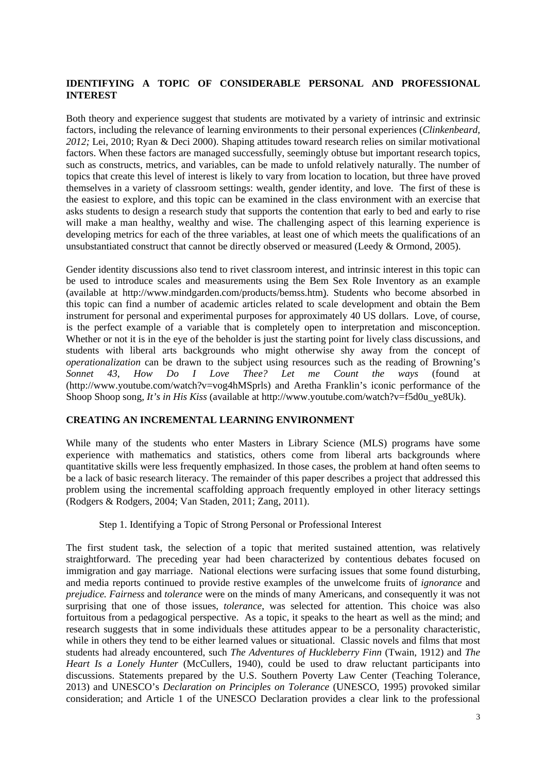#### **IDENTIFYING A TOPIC OF CONSIDERABLE PERSONAL AND PROFESSIONAL INTEREST**

Both theory and experience suggest that students are motivated by a variety of intrinsic and extrinsic factors, including the relevance of learning environments to their personal experiences (*Clinkenbeard, 2012;* Lei, 2010; Ryan & Deci 2000). Shaping attitudes toward research relies on similar motivational factors. When these factors are managed successfully, seemingly obtuse but important research topics, such as constructs, metrics, and variables, can be made to unfold relatively naturally. The number of topics that create this level of interest is likely to vary from location to location, but three have proved themselves in a variety of classroom settings: wealth, gender identity, and love. The first of these is the easiest to explore, and this topic can be examined in the class environment with an exercise that asks students to design a research study that supports the contention that early to bed and early to rise will make a man healthy, wealthy and wise. The challenging aspect of this learning experience is developing metrics for each of the three variables, at least one of which meets the qualifications of an unsubstantiated construct that cannot be directly observed or measured (Leedy & Ormond, 2005).

Gender identity discussions also tend to rivet classroom interest, and intrinsic interest in this topic can be used to introduce scales and measurements using the Bem Sex Role Inventory as an example (available at http://www.mindgarden.com/products/bemss.htm). Students who become absorbed in this topic can find a number of academic articles related to scale development and obtain the Bem instrument for personal and experimental purposes for approximately 40 US dollars. Love, of course, is the perfect example of a variable that is completely open to interpretation and misconception. Whether or not it is in the eye of the beholder is just the starting point for lively class discussions, and students with liberal arts backgrounds who might otherwise shy away from the concept of *operationalization* can be drawn to the subject using resources such as the reading of Browning's *Sonnet 43*, *How Do I Love Thee? Let me Count the ways* (found at (http://www.youtube.com/watch?v=vog4hMSprls) and Aretha Franklin's iconic performance of the Shoop Shoop song, *It's in His Kiss* (available at http://www.youtube.com/watch?v=f5d0u\_ye8Uk).

#### **CREATING AN INCREMENTAL LEARNING ENVIRONMENT**

While many of the students who enter Masters in Library Science (MLS) programs have some experience with mathematics and statistics, others come from liberal arts backgrounds where quantitative skills were less frequently emphasized. In those cases, the problem at hand often seems to be a lack of basic research literacy. The remainder of this paper describes a project that addressed this problem using the incremental scaffolding approach frequently employed in other literacy settings (Rodgers & Rodgers, 2004; Van Staden, 2011; Zang, 2011).

#### Step 1. Identifying a Topic of Strong Personal or Professional Interest

The first student task, the selection of a topic that merited sustained attention, was relatively straightforward. The preceding year had been characterized by contentious debates focused on immigration and gay marriage. National elections were surfacing issues that some found disturbing, and media reports continued to provide restive examples of the unwelcome fruits of *ignorance* and *prejudice. Fairness* and *tolerance* were on the minds of many Americans, and consequently it was not surprising that one of those issues, *tolerance*, was selected for attention. This choice was also fortuitous from a pedagogical perspective. As a topic, it speaks to the heart as well as the mind; and research suggests that in some individuals these attitudes appear to be a personality characteristic, while in others they tend to be either learned values or situational. Classic novels and films that most students had already encountered, such *The Adventures of Huckleberry Finn* (Twain, 1912) and *The Heart Is a Lonely Hunter* (McCullers, 1940)*,* could be used to draw reluctant participants into discussions. Statements prepared by the U.S. Southern Poverty Law Center (Teaching Tolerance, 2013) and UNESCO's *Declaration on Principles on Tolerance* (UNESCO, 1995) provoked similar consideration; and Article 1 of the UNESCO Declaration provides a clear link to the professional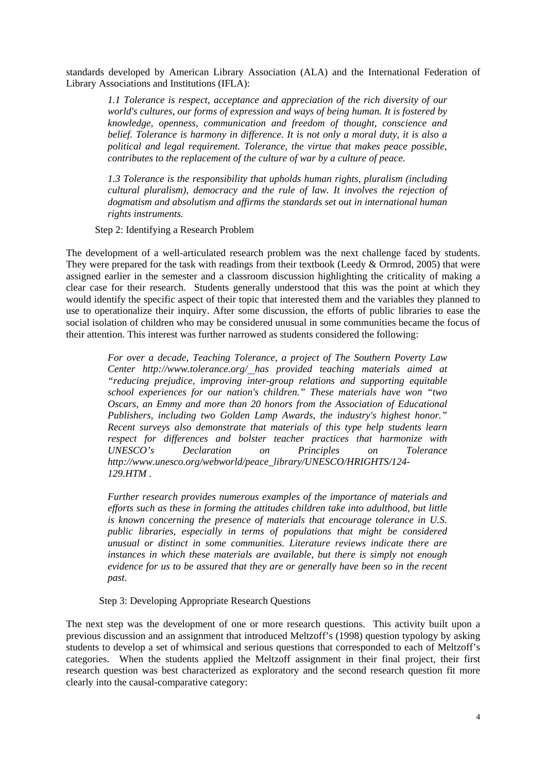standards developed by American Library Association (ALA) and the International Federation of Library Associations and Institutions (IFLA):

*1.1 Tolerance is respect, acceptance and appreciation of the rich diversity of our world's cultures, our forms of expression and ways of being human. It is fostered by knowledge, openness, communication and freedom of thought, conscience and belief. Tolerance is harmony in difference. It is not only a moral duty, it is also a political and legal requirement. Tolerance, the virtue that makes peace possible, contributes to the replacement of the culture of war by a culture of peace.* 

*1.3 Tolerance is the responsibility that upholds human rights, pluralism (including cultural pluralism), democracy and the rule of law. It involves the rejection of dogmatism and absolutism and affirms the standards set out in international human rights instruments.* 

Step 2: Identifying a Research Problem

The development of a well-articulated research problem was the next challenge faced by students. They were prepared for the task with readings from their textbook (Leedy & Ormrod, 2005) that were assigned earlier in the semester and a classroom discussion highlighting the criticality of making a clear case for their research. Students generally understood that this was the point at which they would identify the specific aspect of their topic that interested them and the variables they planned to use to operationalize their inquiry. After some discussion, the efforts of public libraries to ease the social isolation of children who may be considered unusual in some communities became the focus of their attention. This interest was further narrowed as students considered the following:

> *For over a decade, Teaching Tolerance, a project of The Southern Poverty Law Center http://www.tolerance.org/ has provided teaching materials aimed at "reducing prejudice, improving inter-group relations and supporting equitable school experiences for our nation's children." These materials have won "two Oscars, an Emmy and more than 20 honors from the Association of Educational Publishers, including two Golden Lamp Awards, the industry's highest honor." Recent surveys also demonstrate that materials of this type help students learn respect for differences and bolster teacher practices that harmonize with UNESCO's Declaration on Principles on Tolerance http://www.unesco.org/webworld/peace\_library/UNESCO/HRIGHTS/124- 129.HTM .*

> *Further research provides numerous examples of the importance of materials and efforts such as these in forming the attitudes children take into adulthood, but little is known concerning the presence of materials that encourage tolerance in U.S. public libraries, especially in terms of populations that might be considered unusual or distinct in some communities. Literature reviews indicate there are instances in which these materials are available, but there is simply not enough evidence for us to be assured that they are or generally have been so in the recent past.*

Step 3: Developing Appropriate Research Questions

The next step was the development of one or more research questions. This activity built upon a previous discussion and an assignment that introduced Meltzoff's (1998) question typology by asking students to develop a set of whimsical and serious questions that corresponded to each of Meltzoff's categories. When the students applied the Meltzoff assignment in their final project, their first research question was best characterized as exploratory and the second research question fit more clearly into the causal-comparative category: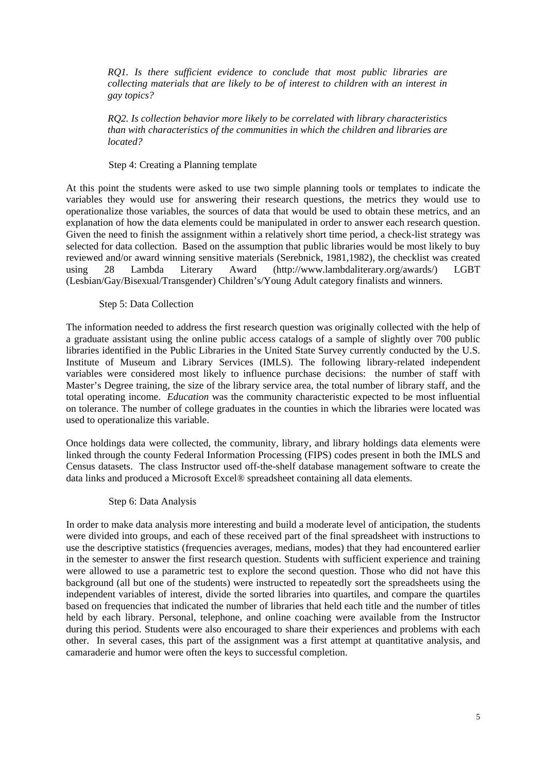*RQ1. Is there sufficient evidence to conclude that most public libraries are collecting materials that are likely to be of interest to children with an interest in gay topics?* 

*RQ2. Is collection behavior more likely to be correlated with library characteristics than with characteristics of the communities in which the children and libraries are located?* 

#### Step 4: Creating a Planning template

At this point the students were asked to use two simple planning tools or templates to indicate the variables they would use for answering their research questions, the metrics they would use to operationalize those variables, the sources of data that would be used to obtain these metrics, and an explanation of how the data elements could be manipulated in order to answer each research question. Given the need to finish the assignment within a relatively short time period, a check-list strategy was selected for data collection. Based on the assumption that public libraries would be most likely to buy reviewed and/or award winning sensitive materials (Serebnick, 1981,1982), the checklist was created using 28 Lambda Literary Award (http://www.lambdaliterary.org/awards/) LGBT (Lesbian/Gay/Bisexual/Transgender) Children's/Young Adult category finalists and winners.

#### Step 5: Data Collection

The information needed to address the first research question was originally collected with the help of a graduate assistant using the online public access catalogs of a sample of slightly over 700 public libraries identified in the Public Libraries in the United State Survey currently conducted by the U.S. Institute of Museum and Library Services (IMLS). The following library-related independent variables were considered most likely to influence purchase decisions: the number of staff with Master's Degree training, the size of the library service area, the total number of library staff, and the total operating income. *Education* was the community characteristic expected to be most influential on tolerance. The number of college graduates in the counties in which the libraries were located was used to operationalize this variable.

Once holdings data were collected, the community, library, and library holdings data elements were linked through the county Federal Information Processing (FIPS) codes present in both the IMLS and Census datasets. The class Instructor used off-the-shelf database management software to create the data links and produced a Microsoft Excel® spreadsheet containing all data elements.

#### Step 6: Data Analysis

In order to make data analysis more interesting and build a moderate level of anticipation, the students were divided into groups, and each of these received part of the final spreadsheet with instructions to use the descriptive statistics (frequencies averages, medians, modes) that they had encountered earlier in the semester to answer the first research question. Students with sufficient experience and training were allowed to use a parametric test to explore the second question. Those who did not have this background (all but one of the students) were instructed to repeatedly sort the spreadsheets using the independent variables of interest, divide the sorted libraries into quartiles, and compare the quartiles based on frequencies that indicated the number of libraries that held each title and the number of titles held by each library. Personal, telephone, and online coaching were available from the Instructor during this period. Students were also encouraged to share their experiences and problems with each other. In several cases, this part of the assignment was a first attempt at quantitative analysis, and camaraderie and humor were often the keys to successful completion.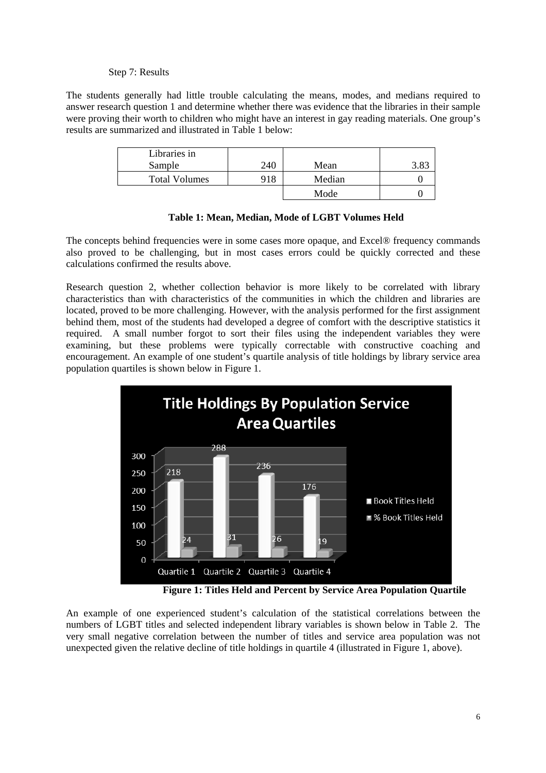#### Step 7: Results

The students generally had little trouble calculating the means, modes, and medians required to answer research question 1 and determine whether there was evidence that the libraries in their sample were proving their worth to children who might have an interest in gay reading materials. One group's results are summarized and illustrated in Table 1 below:

| Libraries in         |     |        |  |
|----------------------|-----|--------|--|
| Sample               | 240 | Mean   |  |
| <b>Total Volumes</b> | 918 | Median |  |
|                      |     | Mode   |  |

|  | Table 1: Mean, Median, Mode of LGBT Volumes Held |  |  |  |  |  |
|--|--------------------------------------------------|--|--|--|--|--|
|--|--------------------------------------------------|--|--|--|--|--|

The concepts behind frequencies were in some cases more opaque, and Excel® frequency commands also proved to be challenging, but in most cases errors could be quickly corrected and these calculations confirmed the results above.

Research question 2, whether collection behavior is more likely to be correlated with library characteristics than with characteristics of the communities in which the children and libraries are located, proved to be more challenging. However, with the analysis performed for the first assignment behind them, most of the students had developed a degree of comfort with the descriptive statistics it required. A small number forgot to sort their files using the independent variables they were examining, but these problems were typically correctable with constructive coaching and encouragement. An example of one student's quartile analysis of title holdings by library service area population quartiles is shown below in Figure 1.



 **Figure 1: Titles Held and Percent by Service Area Population Quartile** 

An example of one experienced student's calculation of the statistical correlations between the numbers of LGBT titles and selected independent library variables is shown below in Table 2. The very small negative correlation between the number of titles and service area population was not unexpected given the relative decline of title holdings in quartile 4 (illustrated in Figure 1, above).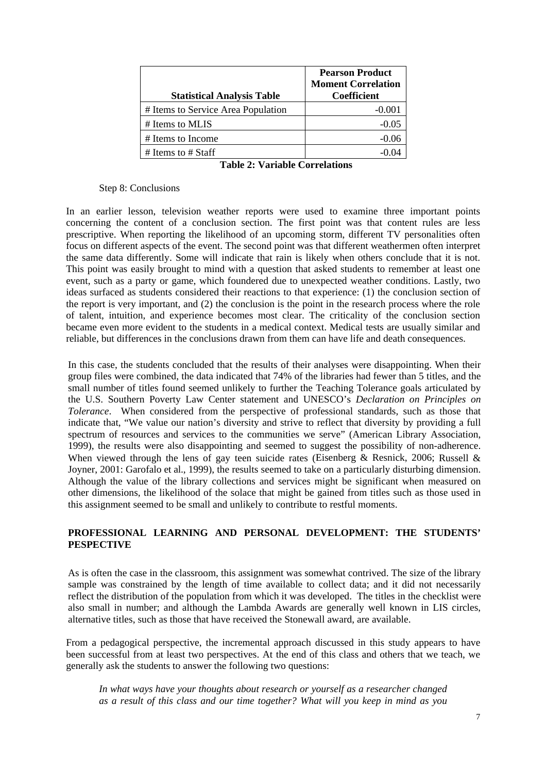| <b>Statistical Analysis Table</b>  | <b>Pearson Product</b><br><b>Moment Correlation</b><br><b>Coefficient</b> |
|------------------------------------|---------------------------------------------------------------------------|
| # Items to Service Area Population | $-0.001$                                                                  |
| # Items to MLIS                    | $-0.05$                                                                   |
| # Items to Income                  | $-0.06$                                                                   |
| # Items to $#$ Staff               |                                                                           |

**Table 2: Variable Correlations** 

#### Step 8: Conclusions

In an earlier lesson, television weather reports were used to examine three important points concerning the content of a conclusion section. The first point was that content rules are less prescriptive. When reporting the likelihood of an upcoming storm, different TV personalities often focus on different aspects of the event. The second point was that different weathermen often interpret the same data differently. Some will indicate that rain is likely when others conclude that it is not. This point was easily brought to mind with a question that asked students to remember at least one event, such as a party or game, which foundered due to unexpected weather conditions. Lastly, two ideas surfaced as students considered their reactions to that experience: (1) the conclusion section of the report is very important, and (2) the conclusion is the point in the research process where the role of talent, intuition, and experience becomes most clear. The criticality of the conclusion section became even more evident to the students in a medical context. Medical tests are usually similar and reliable, but differences in the conclusions drawn from them can have life and death consequences.

In this case, the students concluded that the results of their analyses were disappointing. When their group files were combined, the data indicated that 74% of the libraries had fewer than 5 titles, and the small number of titles found seemed unlikely to further the Teaching Tolerance goals articulated by the U.S. Southern Poverty Law Center statement and UNESCO's *Declaration on Principles on Tolerance*. When considered from the perspective of professional standards, such as those that indicate that, "We value our nation's diversity and strive to reflect that diversity by providing a full spectrum of resources and services to the communities we serve" (American Library Association, 1999), the results were also disappointing and seemed to suggest the possibility of non-adherence. When viewed through the lens of gay teen suicide rates (Eisenberg & Resnick, 2006; Russell & Joyner, 2001: Garofalo et al., 1999), the results seemed to take on a particularly disturbing dimension. Although the value of the library collections and services might be significant when measured on other dimensions, the likelihood of the solace that might be gained from titles such as those used in this assignment seemed to be small and unlikely to contribute to restful moments.

#### **PROFESSIONAL LEARNING AND PERSONAL DEVELOPMENT: THE STUDENTS' PESPECTIVE**

As is often the case in the classroom, this assignment was somewhat contrived. The size of the library sample was constrained by the length of time available to collect data; and it did not necessarily reflect the distribution of the population from which it was developed. The titles in the checklist were also small in number; and although the Lambda Awards are generally well known in LIS circles, alternative titles, such as those that have received the Stonewall award, are available.

From a pedagogical perspective, the incremental approach discussed in this study appears to have been successful from at least two perspectives. At the end of this class and others that we teach, we generally ask the students to answer the following two questions:

*In what ways have your thoughts about research or yourself as a researcher changed as a result of this class and our time together? What will you keep in mind as you*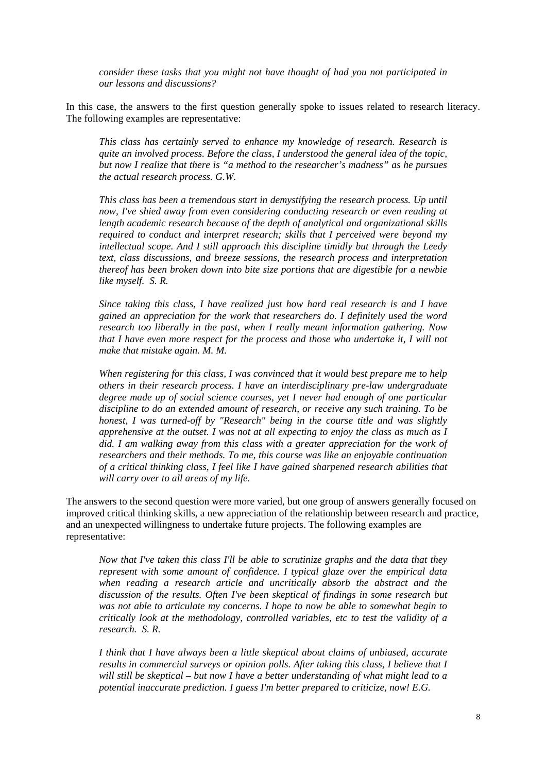*consider these tasks that you might not have thought of had you not participated in our lessons and discussions?* 

In this case, the answers to the first question generally spoke to issues related to research literacy. The following examples are representative:

*This class has certainly served to enhance my knowledge of research. Research is quite an involved process. Before the class, I understood the general idea of the topic, but now I realize that there is "a method to the researcher's madness" as he pursues the actual research process. G.W.* 

*This class has been a tremendous start in demystifying the research process. Up until now, I've shied away from even considering conducting research or even reading at length academic research because of the depth of analytical and organizational skills required to conduct and interpret research; skills that I perceived were beyond my intellectual scope. And I still approach this discipline timidly but through the Leedy text, class discussions, and breeze sessions, the research process and interpretation thereof has been broken down into bite size portions that are digestible for a newbie like myself. S. R.* 

*Since taking this class, I have realized just how hard real research is and I have gained an appreciation for the work that researchers do. I definitely used the word research too liberally in the past, when I really meant information gathering. Now that I have even more respect for the process and those who undertake it, I will not make that mistake again. M. M.* 

*When registering for this class, I was convinced that it would best prepare me to help others in their research process. I have an interdisciplinary pre-law undergraduate degree made up of social science courses, yet I never had enough of one particular discipline to do an extended amount of research, or receive any such training. To be honest, I was turned-off by "Research" being in the course title and was slightly apprehensive at the outset. I was not at all expecting to enjoy the class as much as I*  did. I am walking away from this class with a greater appreciation for the work of *researchers and their methods. To me, this course was like an enjoyable continuation of a critical thinking class, I feel like I have gained sharpened research abilities that will carry over to all areas of my life.* 

The answers to the second question were more varied, but one group of answers generally focused on improved critical thinking skills, a new appreciation of the relationship between research and practice, and an unexpected willingness to undertake future projects. The following examples are representative:

*Now that I've taken this class I'll be able to scrutinize graphs and the data that they represent with some amount of confidence. I typical glaze over the empirical data when reading a research article and uncritically absorb the abstract and the discussion of the results. Often I've been skeptical of findings in some research but was not able to articulate my concerns. I hope to now be able to somewhat begin to critically look at the methodology, controlled variables, etc to test the validity of a research. S. R.* 

*I think that I have always been a little skeptical about claims of unbiased, accurate results in commercial surveys or opinion polls. After taking this class, I believe that I will still be skeptical – but now I have a better understanding of what might lead to a potential inaccurate prediction. I guess I'm better prepared to criticize, now! E.G.*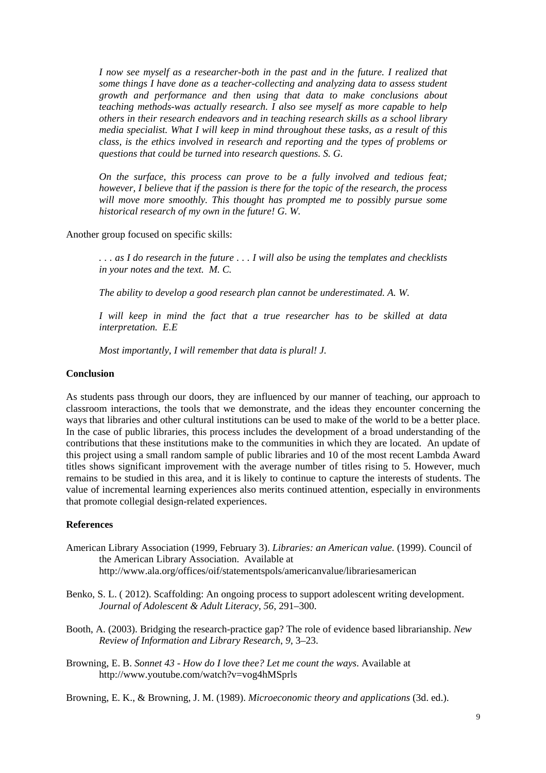*I now see myself as a researcher-both in the past and in the future. I realized that some things I have done as a teacher-collecting and analyzing data to assess student growth and performance and then using that data to make conclusions about teaching methods-was actually research. I also see myself as more capable to help others in their research endeavors and in teaching research skills as a school library media specialist. What I will keep in mind throughout these tasks, as a result of this class, is the ethics involved in research and reporting and the types of problems or questions that could be turned into research questions. S. G.* 

*On the surface, this process can prove to be a fully involved and tedious feat; however, I believe that if the passion is there for the topic of the research, the process will move more smoothly. This thought has prompted me to possibly pursue some historical research of my own in the future! G. W.* 

Another group focused on specific skills:

*. . . as I do research in the future . . . I will also be using the templates and checklists in your notes and the text. M. C.* 

*The ability to develop a good research plan cannot be underestimated. A. W.* 

*I will keep in mind the fact that a true researcher has to be skilled at data interpretation. E.E* 

*Most importantly, I will remember that data is plural! J.* 

#### **Conclusion**

As students pass through our doors, they are influenced by our manner of teaching, our approach to classroom interactions, the tools that we demonstrate, and the ideas they encounter concerning the ways that libraries and other cultural institutions can be used to make of the world to be a better place. In the case of public libraries, this process includes the development of a broad understanding of the contributions that these institutions make to the communities in which they are located. An update of this project using a small random sample of public libraries and 10 of the most recent Lambda Award titles shows significant improvement with the average number of titles rising to 5. However, much remains to be studied in this area, and it is likely to continue to capture the interests of students. The value of incremental learning experiences also merits continued attention, especially in environments that promote collegial design-related experiences.

#### **References**

- American Library Association (1999, February 3). *Libraries: an American value.* (1999). Council of the American Library Association. Available at http://www.ala.org/offices/oif/statementspols/americanvalue/librariesamerican
- Benko, S. L. ( 2012). Scaffolding: An ongoing process to support adolescent writing development. *Journal of Adolescent & Adult Literacy*, *56*, 291–300.
- Booth, A. (2003). Bridging the research-practice gap? The role of evidence based librarianship. *New Review of Information and Library Research*, *9*, 3–23.
- Browning, E. B. *Sonnet 43 How do I love thee? Let me count the ways*. Available at http://www.youtube.com/watch?v=vog4hMSprls

Browning, E. K., & Browning, J. M. (1989). *Microeconomic theory and applications* (3d. ed.).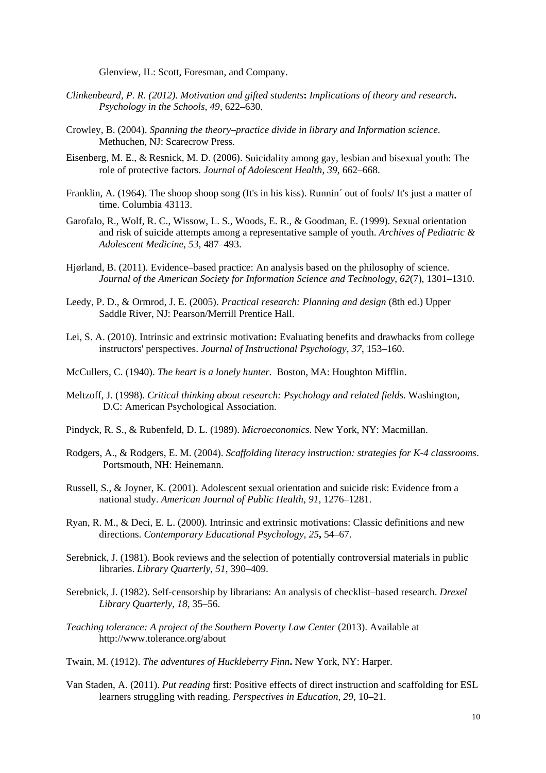Glenview, IL: Scott, Foresman, and Company.

- *Clinkenbeard, P. R. (2012). Motivation and gifted students***:** *Implications of theory and research***.**  *Psychology in the Schools*, *49*, 622–630.
- Crowley, B. (2004). *Spanning the theory–practice divide in library and Information science*. Methuchen, NJ: Scarecrow Press.
- Eisenberg, M. E., & Resnick, M. D. (2006). Suicidality among gay, lesbian and bisexual youth: The role of protective factors. *Journal of Adolescent Health*, *39*, 662–668.
- Franklin, A. (1964). The shoop shoop song (It's in his kiss). Runnin´ out of fools/ It's just a matter of time. Columbia 43113.
- Garofalo, R., Wolf, R. C., Wissow, L. S., Woods, E. R., & Goodman, E. (1999). Sexual orientation and risk of suicide attempts among a representative sample of youth. *Archives of Pediatric & Adolescent Medicine*, *53*, 487–493.
- Hjørland, B. (2011). Evidence–based practice: An analysis based on the philosophy of science. *Journal of the American Society for Information Science and Technology*, *62*(7), 1301–1310.
- Leedy, P. D., & Ormrod, J. E. (2005). *Practical research: Planning and design* (8th ed.) Upper Saddle River, NJ: Pearson/Merrill Prentice Hall.
- Lei, S. A. (2010). Intrinsic and extrinsic motivation**:** Evaluating benefits and drawbacks from college instructors' perspectives. *Journal of Instructional Psychology*, *37*, 153–160.
- McCullers, C. (1940). *The heart is a lonely hunter*. Boston, MA: Houghton Mifflin.
- Meltzoff, J. (1998). *Critical thinking about research: Psychology and related fields*. Washington, D.C: American Psychological Association.
- Pindyck, R. S., & Rubenfeld, D. L. (1989). *Microeconomics*. New York, NY: Macmillan.
- Rodgers, A., & Rodgers, E. M. (2004). *Scaffolding literacy instruction: strategies for K-4 classrooms*. Portsmouth, NH: Heinemann.
- Russell, S., & Joyner, K. (2001). Adolescent sexual orientation and suicide risk: Evidence from a national study. *American Journal of Public Health*, *91*, 1276–1281.
- Ryan, R. M., & Deci, E. L. (2000). Intrinsic and extrinsic motivations: Classic definitions and new directions. *Contemporary Educational Psychology*, *25***,** 54–67.
- Serebnick, J. (1981). Book reviews and the selection of potentially controversial materials in public libraries. *Library Quarterly*, *51*, 390–409.
- Serebnick, J. (1982). Self-censorship by librarians: An analysis of checklist–based research. *Drexel Library Quarterly*, *18*, 35–56.
- *Teaching tolerance: A project of the Southern Poverty Law Center (2013). Available at* http://www.tolerance.org/about
- Twain, M. (1912). *The adventures of Huckleberry Finn***.** New York, NY: Harper.
- Van Staden, A. (2011). *Put reading* first: Positive effects of direct instruction and scaffolding for ESL learners struggling with reading. *Perspectives in Education*, *29*, 10–21.